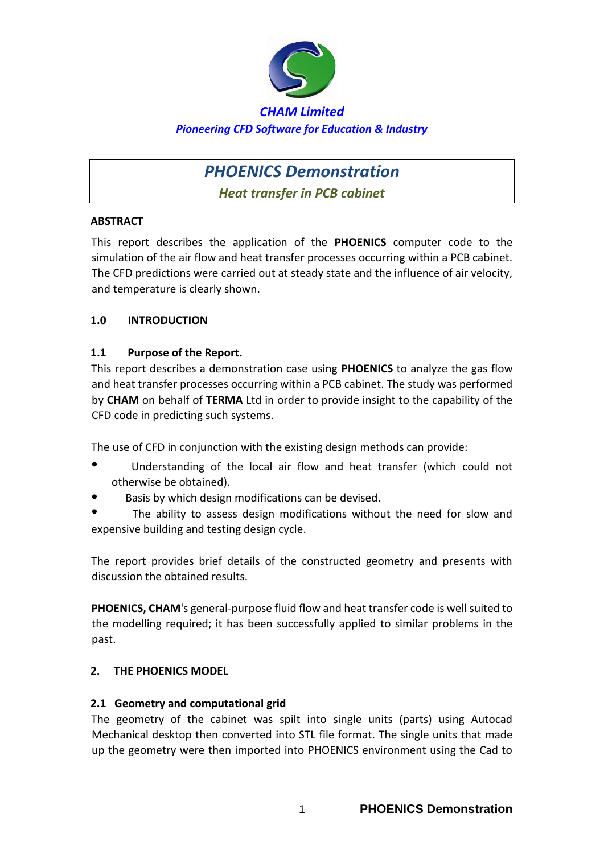

# *PHOENICS Demonstration*

*Heat transfer in PCB cabinet* 

# **ABSTRACT**

This report describes the application of the **PHOENICS** computer code to the simulation of the air flow and heat transfer processes occurring within a PCB cabinet. The CFD predictions were carried out at steady state and the influence of air velocity, and temperature is clearly shown.

# **1.0 INTRODUCTION**

# **1.1 Purpose of the Report.**

This report describes a demonstration case using **PHOENICS** to analyze the gas flow and heat transfer processes occurring within a PCB cabinet. The study was performed by **CHAM** on behalf of **TERMA** Ltd in order to provide insight to the capability of the CFD code in predicting such systems.

The use of CFD in conjunction with the existing design methods can provide:

- $\bullet$  Understanding of the local air flow and heat transfer (which could not otherwise be obtained).
- Basis by which design modifications can be devised.

 The ability to assess design modifications without the need for slow and expensive building and testing design cycle.

The report provides brief details of the constructed geometry and presents with discussion the obtained results.

**PHOENICS, CHAM**'s general-purpose fluid flow and heat transfer code is well suited to the modelling required; it has been successfully applied to similar problems in the past.

# **2. THE PHOENICS MODEL**

# **2.1 Geometry and computational grid**

The geometry of the cabinet was spilt into single units (parts) using Autocad Mechanical desktop then converted into STL file format. The single units that made up the geometry were then imported into PHOENICS environment using the Cad to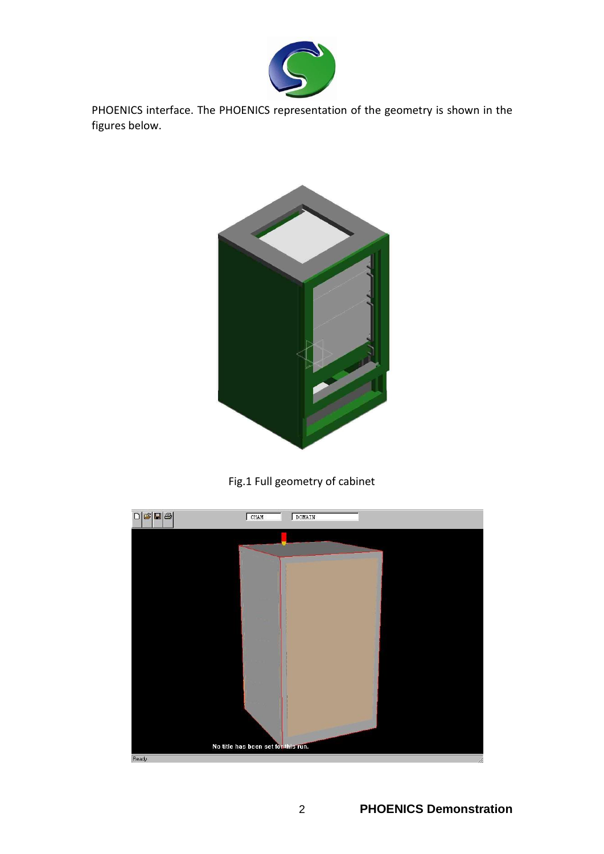

PHOENICS interface. The PHOENICS representation of the geometry is shown in the figures below.



Fig.1 Full geometry of cabinet

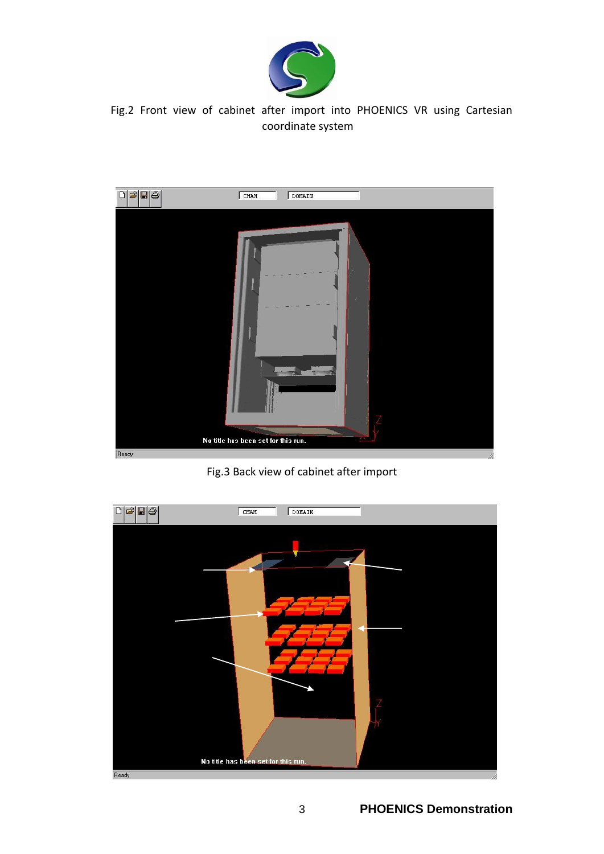

Fig.2 Front view of cabinet after import into PHOENICS VR using Cartesian coordinate system



Fig.3 Back view of cabinet after import

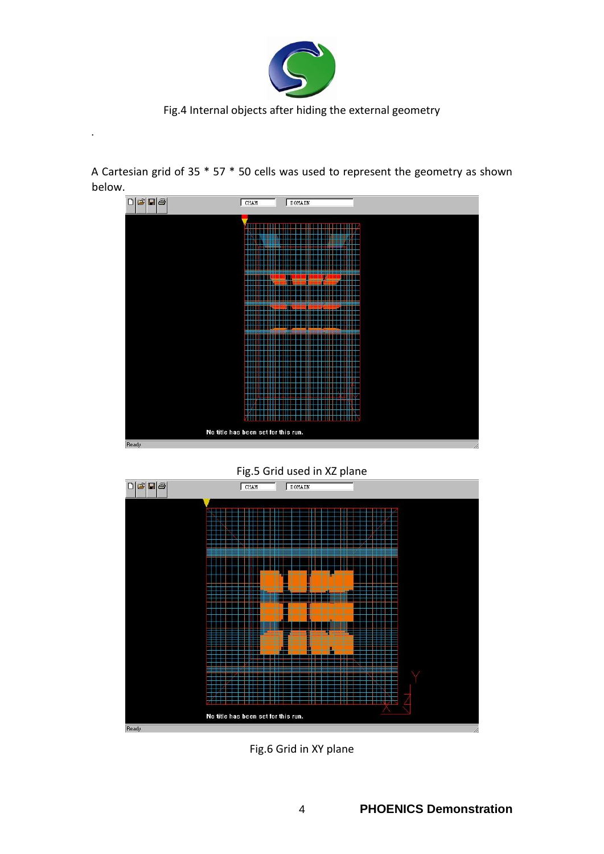

Fig.4 Internal objects after hiding the external geometry

.

A Cartesian grid of 35 \* 57 \* 50 cells was used to represent the geometry as shown below.





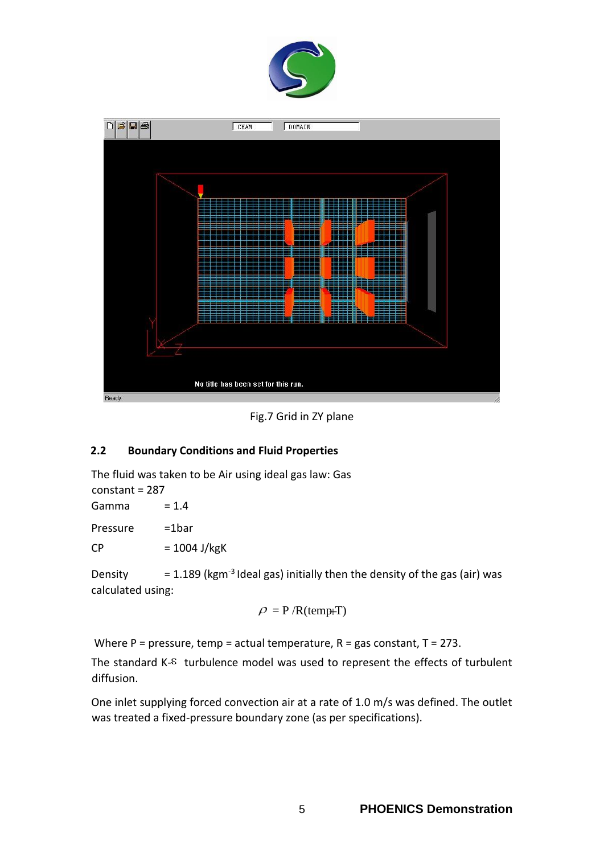



Fig.7 Grid in ZY plane

# **2.2 Boundary Conditions and Fluid Properties**

The fluid was taken to be Air using ideal gas law: Gas constant = 287 Gamma  $= 1.4$ Pressure =1bar

 $CP = 1004$  J/kgK

Density  $= 1.189$  (kgm<sup>-3</sup> Ideal gas) initially then the density of the gas (air) was calculated using:

$$
\rho = P / R(\text{temp+T})
$$

Where  $P =$  pressure, temp = actual temperature,  $R =$  gas constant,  $T = 273$ .

The standard  $K$ - $\epsilon$  turbulence model was used to represent the effects of turbulent diffusion.

One inlet supplying forced convection air at a rate of 1.0 m/s was defined. The outlet was treated a fixed-pressure boundary zone (as per specifications).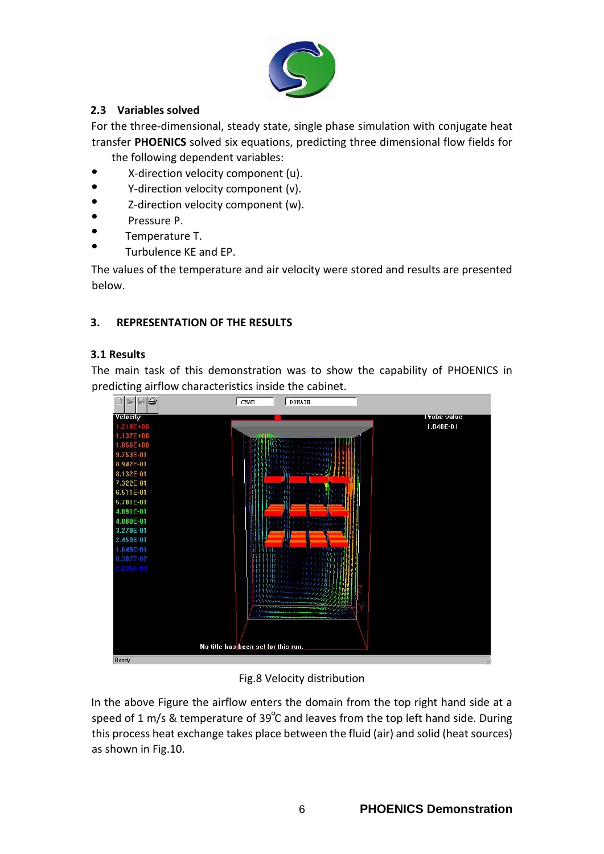

# **2.3 Variables solved**

For the three-dimensional, steady state, single phase simulation with conjugate heat transfer **PHOENICS** solved six equations, predicting three dimensional flow fields for the following dependent variables:

- $\bullet$ X-direction velocity component (u).
- $\bullet$ Y-direction velocity component (v).
- ė Z-direction velocity component (w).
- Pressure P.
- Temperature T.
- Turbulence KE and EP.

The values of the temperature and air velocity were stored and results are presented below.

#### **3. REPRESENTATION OF THE RESULTS**

#### **3.1 Results**

The main task of this demonstration was to show the capability of PHOENICS in predicting airflow characteristics inside the cabinet.



Fig.8 Velocity distribution

In the above Figure the airflow enters the domain from the top right hand side at a speed of 1 m/s & temperature of 39 $^{\circ}$ C and leaves from the top left hand side. During this process heat exchange takes place between the fluid (air) and solid (heat sources) as shown in Fig.10.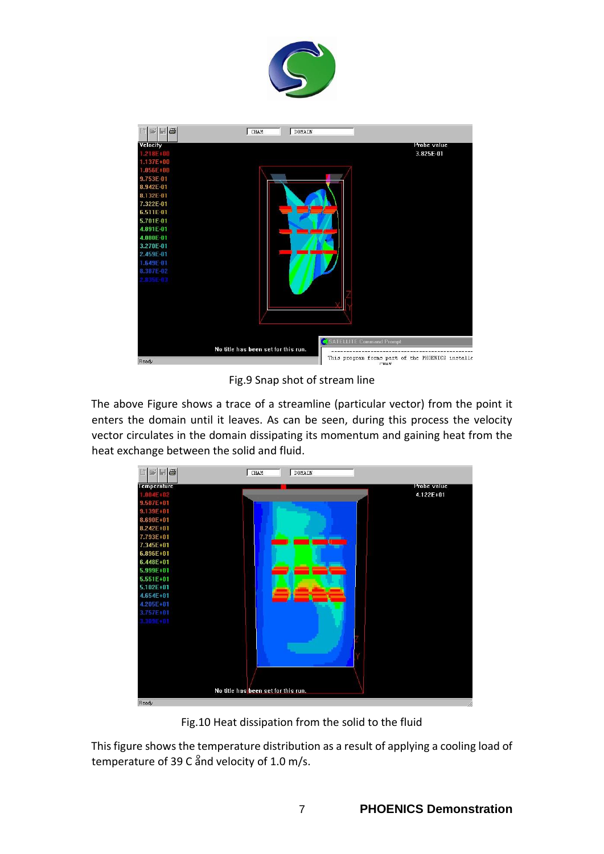



Fig.9 Snap shot of stream line

The above Figure shows a trace of a streamline (particular vector) from the point it enters the domain until it leaves. As can be seen, during this process the velocity vector circulates in the domain dissipating its momentum and gaining heat from the heat exchange between the solid and fluid.



Fig.10 Heat dissipation from the solid to the fluid

This figure shows the temperature distribution as a result of applying a cooling load of temperature of 39 C and velocity of 1.0 m/s.